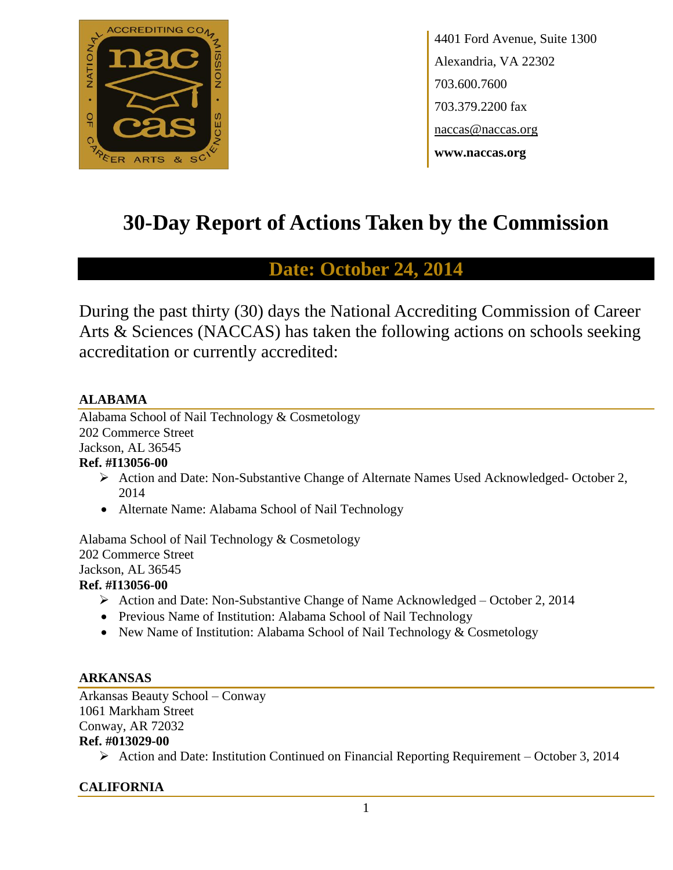

4401 Ford Avenue, Suite 1300 Alexandria, VA 22302 703.600.7600 703.379.2200 fax naccas@naccas.org **www.naccas.org**

# **30-Day Report of Actions Taken by the Commission**

# **Date: October 24, 2014**

During the past thirty (30) days the National Accrediting Commission of Career Arts & Sciences (NACCAS) has taken the following actions on schools seeking accreditation or currently accredited:

# **ALABAMA**

Alabama School of Nail Technology & Cosmetology 202 Commerce Street Jackson, AL 36545

# **Ref. #I13056-00**

- Action and Date: Non-Substantive Change of Alternate Names Used Acknowledged- October 2, 2014
- Alternate Name: Alabama School of Nail Technology

Alabama School of Nail Technology & Cosmetology 202 Commerce Street Jackson, AL 36545

# **Ref. #I13056-00**

- Action and Date: Non-Substantive Change of Name Acknowledged October 2, 2014
- Previous Name of Institution: Alabama School of Nail Technology
- New Name of Institution: Alabama School of Nail Technology & Cosmetology

# **ARKANSAS**

Arkansas Beauty School – Conway 1061 Markham Street Conway, AR 72032 **Ref. #013029-00**

Action and Date: Institution Continued on Financial Reporting Requirement – October 3, 2014

# **CALIFORNIA**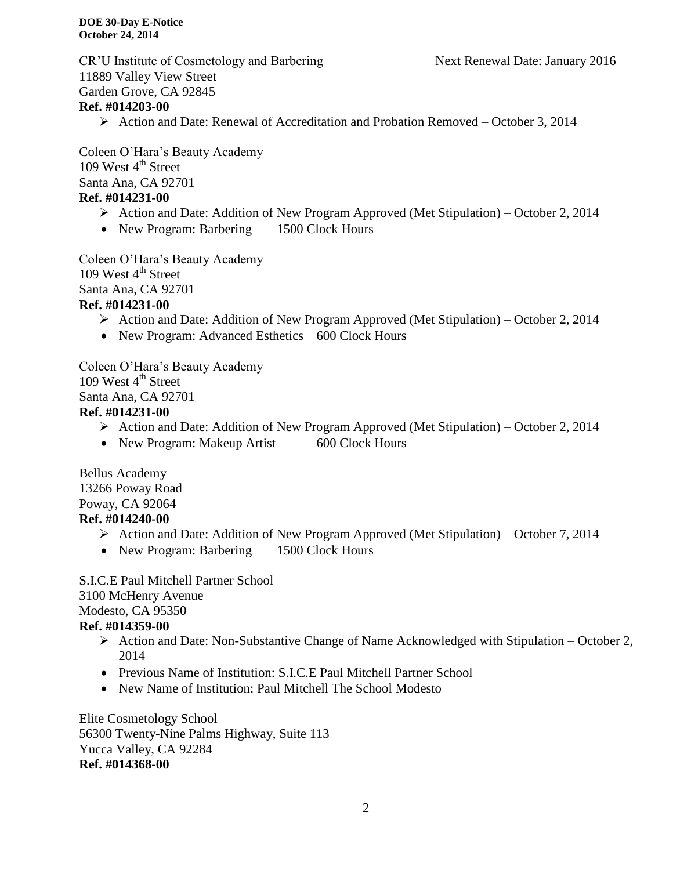CR'U Institute of Cosmetology and Barbering Next Renewal Date: January 2016 11889 Valley View Street Garden Grove, CA 92845

# **Ref. #014203-00**

Action and Date: Renewal of Accreditation and Probation Removed – October 3, 2014

Coleen O'Hara's Beauty Academy 109 West  $4<sup>th</sup>$  Street Santa Ana, CA 92701 **Ref. #014231-00**

- $\triangleright$  Action and Date: Addition of New Program Approved (Met Stipulation) October 2, 2014
- New Program: Barbering 1500 Clock Hours

Coleen O'Hara's Beauty Academy 109 West  $4<sup>th</sup>$  Street Santa Ana, CA 92701 **Ref. #014231-00**

- Action and Date: Addition of New Program Approved (Met Stipulation) October 2, 2014
- New Program: Advanced Esthetics 600 Clock Hours

Coleen O'Hara's Beauty Academy 109 West  $4<sup>th</sup>$  Street Santa Ana, CA 92701 **Ref. #014231-00**

- Action and Date: Addition of New Program Approved (Met Stipulation) October 2, 2014
- New Program: Makeup Artist 600 Clock Hours

Bellus Academy 13266 Poway Road Poway, CA 92064 **Ref. #014240-00**

- Action and Date: Addition of New Program Approved (Met Stipulation) October 7, 2014
- New Program: Barbering 1500 Clock Hours

S.I.C.E Paul Mitchell Partner School 3100 McHenry Avenue Modesto, CA 95350

# **Ref. #014359-00**

- $\triangleright$  Action and Date: Non-Substantive Change of Name Acknowledged with Stipulation October 2, 2014
- Previous Name of Institution: S.I.C.E Paul Mitchell Partner School
- New Name of Institution: Paul Mitchell The School Modesto

Elite Cosmetology School 56300 Twenty-Nine Palms Highway, Suite 113 Yucca Valley, CA 92284 **Ref. #014368-00**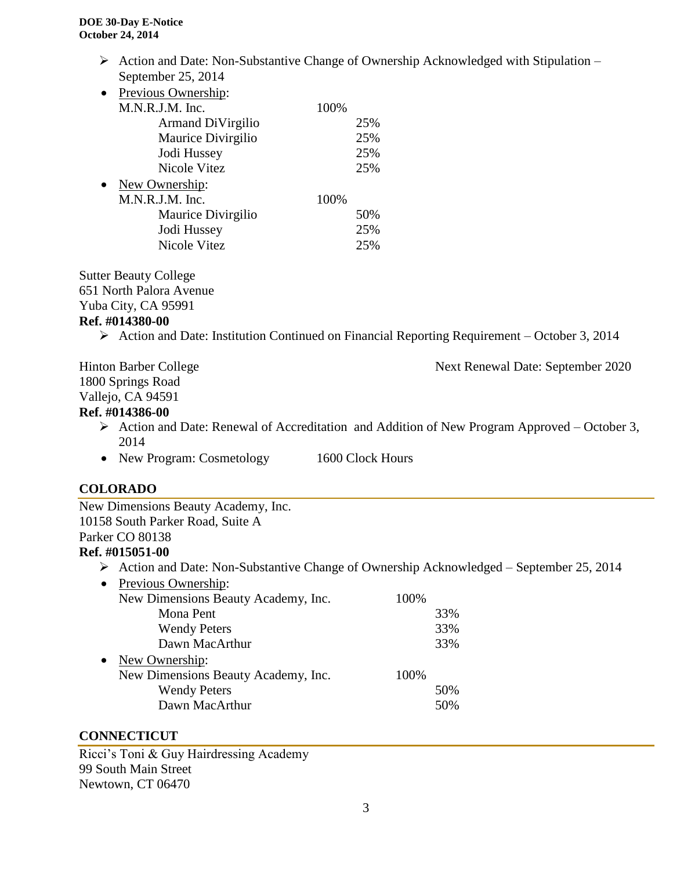$\triangleright$  Action and Date: Non-Substantive Change of Ownership Acknowledged with Stipulation – September 25, 2014

| Previous Ownership: |      |     |
|---------------------|------|-----|
| M.N.R.J.M. Inc.     | 100% |     |
| Armand DiVirgilio   |      | 25% |
| Maurice Divirgilio  |      | 25% |
| Jodi Hussey         |      | 25% |
| Nicole Vitez        |      | 25% |
| New Ownership:      |      |     |
| M.N.R.J.M. Inc.     | 100% |     |
| Maurice Divirgilio  |      | 50% |
| Jodi Hussey         |      | 25% |
| Nicole Vitez        |      | 25% |
|                     |      |     |

Sutter Beauty College 651 North Palora Avenue

#### Yuba City, CA 95991

#### **Ref. #014380-00**

Action and Date: Institution Continued on Financial Reporting Requirement – October 3, 2014

Hinton Barber College Next Renewal Date: September 2020 1800 Springs Road Vallejo, CA 94591

#### **Ref. #014386-00**

- $\triangleright$  Action and Date: Renewal of Accreditation and Addition of New Program Approved October 3, 2014
- New Program: Cosmetology 1600 Clock Hours

# **COLORADO**

New Dimensions Beauty Academy, Inc. 10158 South Parker Road, Suite A Parker CO 80138

# **Ref. #015051-00**

- Action and Date: Non-Substantive Change of Ownership Acknowledged September 25, 2014
- Previous Ownership:

|           | New Dimensions Beauty Academy, Inc. | 100% |     |
|-----------|-------------------------------------|------|-----|
|           | Mona Pent                           |      | 33% |
|           | <b>Wendy Peters</b>                 |      | 33% |
|           | Dawn MacArthur                      |      | 33% |
| $\bullet$ | New Ownership:                      |      |     |
|           | New Dimensions Beauty Academy, Inc. | 100% |     |
|           | <b>Wendy Peters</b>                 |      | 50% |
|           | Dawn MacArthur                      |      | 50% |
|           |                                     |      |     |

#### **CONNECTICUT**

Ricci's Toni & Guy Hairdressing Academy 99 South Main Street Newtown, CT 06470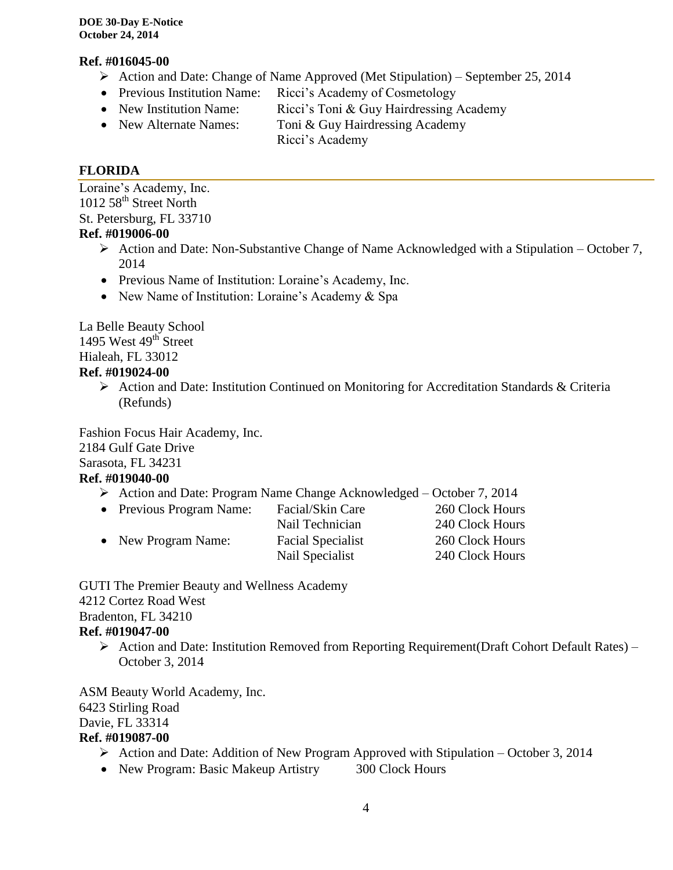#### **Ref. #016045-00**

- $\triangleright$  Action and Date: Change of Name Approved (Met Stipulation) September 25, 2014
- Previous Institution Name: Ricci's Academy of Cosmetology
- New Institution Name: Ricci's Toni & Guy Hairdressing Academy
- New Alternate Names: Toni & Guy Hairdressing Academy
	- Ricci's Academy

# **FLORIDA**

Loraine's Academy, Inc. 1012 58<sup>th</sup> Street North St. Petersburg, FL 33710

# **Ref. #019006-00**

- $\triangleright$  Action and Date: Non-Substantive Change of Name Acknowledged with a Stipulation October 7, 2014
- Previous Name of Institution: Loraine's Academy, Inc.
- New Name of Institution: Loraine's Academy & Spa

La Belle Beauty School 1495 West  $49<sup>th</sup>$  Street Hialeah, FL 33012 **Ref. #019024-00**

> Action and Date: Institution Continued on Monitoring for Accreditation Standards & Criteria (Refunds)

Fashion Focus Hair Academy, Inc. 2184 Gulf Gate Drive Sarasota, FL 34231

# **Ref. #019040-00**

 $\triangleright$  Action and Date: Program Name Change Acknowledged – October 7, 2014

| • Previous Program Name: | Facial/Skin Care         | 260 Clock Hours |
|--------------------------|--------------------------|-----------------|
|                          | Nail Technician          | 240 Clock Hours |
| • New Program Name:      | <b>Facial Specialist</b> | 260 Clock Hours |
|                          | Nail Specialist          | 240 Clock Hours |

GUTI The Premier Beauty and Wellness Academy 4212 Cortez Road West Bradenton, FL 34210 **Ref. #019047-00**

 Action and Date: Institution Removed from Reporting Requirement(Draft Cohort Default Rates) – October 3, 2014

ASM Beauty World Academy, Inc. 6423 Stirling Road Davie, FL 33314 **Ref. #019087-00**

- $\triangleright$  Action and Date: Addition of New Program Approved with Stipulation October 3, 2014
- New Program: Basic Makeup Artistry 300 Clock Hours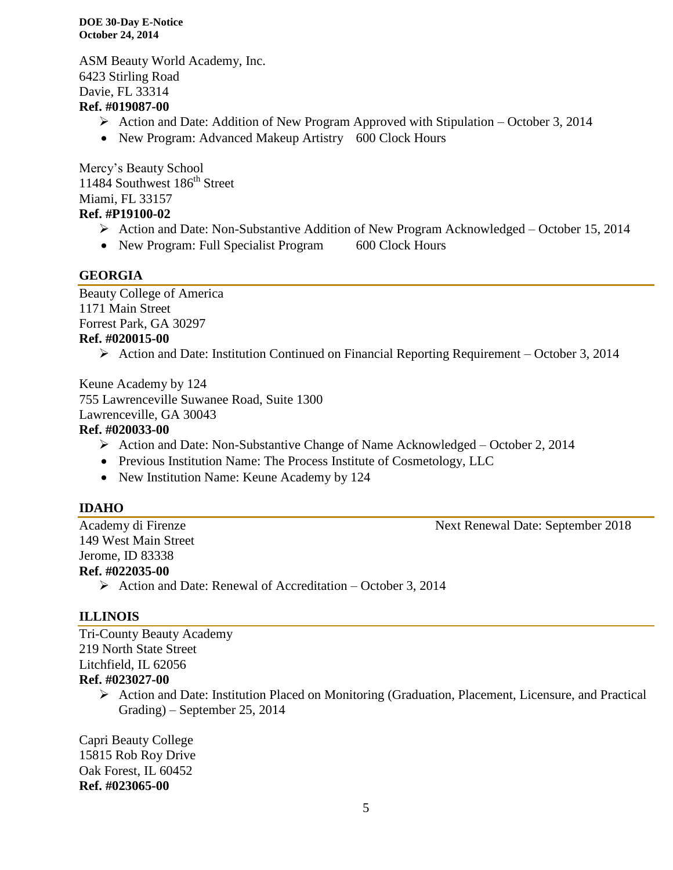**DOE 30-Day E-Notice October 24, 2014**

ASM Beauty World Academy, Inc. 6423 Stirling Road Davie, FL 33314

#### **Ref. #019087-00**

- Action and Date: Addition of New Program Approved with Stipulation October 3, 2014
- New Program: Advanced Makeup Artistry 600 Clock Hours

Mercy's Beauty School 11484 Southwest 186<sup>th</sup> Street Miami, FL 33157

# **Ref. #P19100-02**

- Action and Date: Non-Substantive Addition of New Program Acknowledged October 15, 2014
- New Program: Full Specialist Program 600 Clock Hours

#### **GEORGIA**

Beauty College of America 1171 Main Street Forrest Park, GA 30297 **Ref. #020015-00**

Action and Date: Institution Continued on Financial Reporting Requirement – October 3, 2014

Keune Academy by 124 755 Lawrenceville Suwanee Road, Suite 1300 Lawrenceville, GA 30043 **Ref. #020033-00**

- $\triangleright$  Action and Date: Non-Substantive Change of Name Acknowledged October 2, 2014
- Previous Institution Name: The Process Institute of Cosmetology, LLC
- New Institution Name: Keune Academy by 124

#### **IDAHO**

149 West Main Street Jerome, ID 83338 **Ref. #022035-00**

Academy di Firenze Next Renewal Date: September 2018

 $\triangleright$  Action and Date: Renewal of Accreditation – October 3, 2014

#### **ILLINOIS**

Tri-County Beauty Academy 219 North State Street Litchfield, IL 62056 **Ref. #023027-00**

> $\triangleright$  Action and Date: Institution Placed on Monitoring (Graduation, Placement, Licensure, and Practical Grading) – September 25, 2014

Capri Beauty College 15815 Rob Roy Drive Oak Forest, IL 60452 **Ref. #023065-00**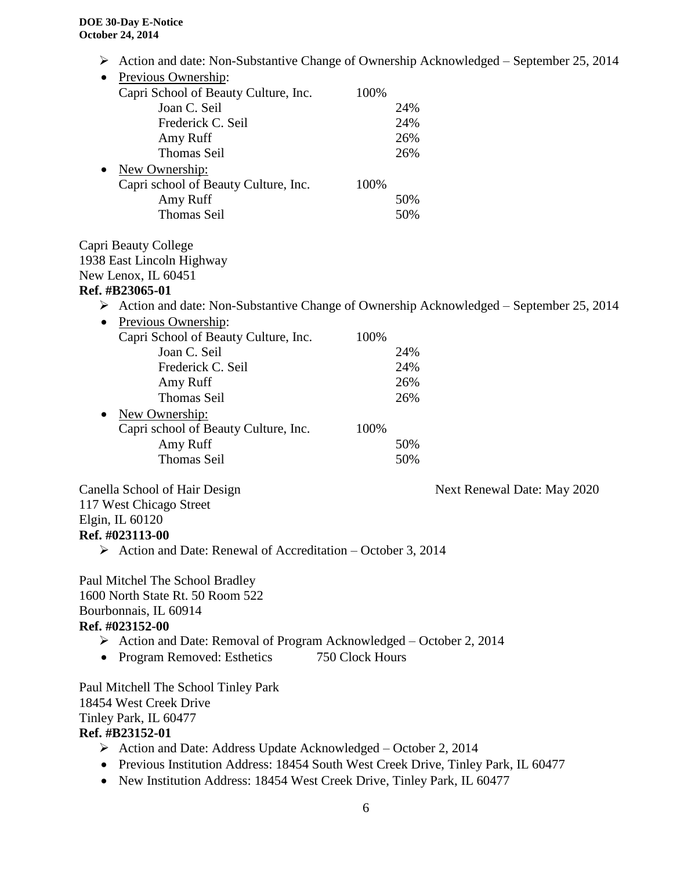Action and date: Non-Substantive Change of Ownership Acknowledged – September 25, 2014

| Previous Ownership:                  |      |     |
|--------------------------------------|------|-----|
| Capri School of Beauty Culture, Inc. | 100% |     |
| Joan C. Seil                         |      | 24% |
| Frederick C. Seil                    |      | 24% |
| Amy Ruff                             |      | 26% |
| <b>Thomas Seil</b>                   |      | 26% |
| New Ownership:                       |      |     |
| Capri school of Beauty Culture, Inc. | 100% |     |
| Amy Ruff                             |      | 50% |
| <b>Thomas Seil</b>                   |      | 50% |

Capri Beauty College 1938 East Lincoln Highway New Lenox, IL 60451

#### **Ref. #B23065-01**

 $\triangleright$  Action and date: Non-Substantive Change of Ownership Acknowledged – September 25, 2014

| $\bullet$ | Previous Ownership:                  |      |     |
|-----------|--------------------------------------|------|-----|
|           | Capri School of Beauty Culture, Inc. | 100% |     |
|           | Joan C. Seil                         |      | 24% |
|           | Frederick C. Seil                    |      | 24% |
|           | Amy Ruff                             |      | 26% |
|           | <b>Thomas Seil</b>                   |      | 26% |
| $\bullet$ | New Ownership:                       |      |     |
|           | Capri school of Beauty Culture, Inc. | 100% |     |
|           | Amy Ruff                             |      | 50% |
|           | <b>Thomas Seil</b>                   |      | 50% |
|           |                                      |      |     |

Canella School of Hair Design Next Renewal Date: May 2020 117 West Chicago Street Elgin, IL 60120

#### **Ref. #023113-00**

 $\triangleright$  Action and Date: Renewal of Accreditation – October 3, 2014

Paul Mitchel The School Bradley 1600 North State Rt. 50 Room 522 Bourbonnais, IL 60914 **Ref. #023152-00**

- Action and Date: Removal of Program Acknowledged October 2, 2014
- Program Removed: Esthetics 750 Clock Hours

Paul Mitchell The School Tinley Park 18454 West Creek Drive Tinley Park, IL 60477 **Ref. #B23152-01**

- $\triangleright$  Action and Date: Address Update Acknowledged October 2, 2014
- Previous Institution Address: 18454 South West Creek Drive, Tinley Park, IL 60477
- New Institution Address: 18454 West Creek Drive, Tinley Park, IL 60477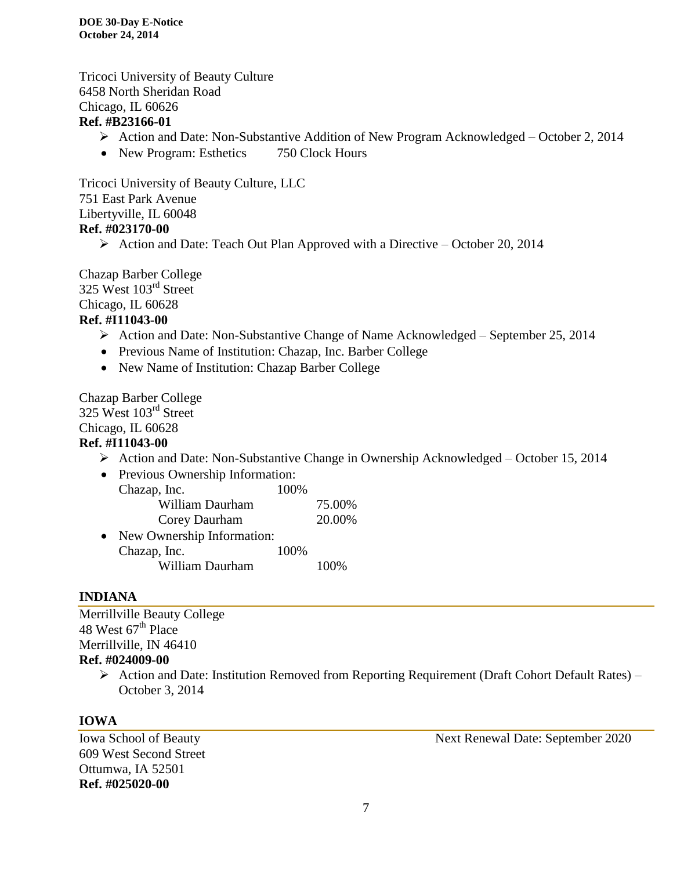Tricoci University of Beauty Culture 6458 North Sheridan Road Chicago, IL 60626 **Ref. #B23166-01**

- Action and Date: Non-Substantive Addition of New Program Acknowledged October 2, 2014
- New Program: Esthetics 750 Clock Hours

Tricoci University of Beauty Culture, LLC 751 East Park Avenue Libertyville, IL 60048 **Ref. #023170-00**

 $\triangleright$  Action and Date: Teach Out Plan Approved with a Directive – October 20, 2014

Chazap Barber College 325 West 103<sup>rd</sup> Street Chicago, IL 60628 **Ref. #I11043-00**

- $\triangleright$  Action and Date: Non-Substantive Change of Name Acknowledged September 25, 2014
- Previous Name of Institution: Chazap, Inc. Barber College
- New Name of Institution: Chazap Barber College

Chazap Barber College 325 West 103rd Street Chicago, IL 60628

#### **Ref. #I11043-00**

 $\triangleright$  Action and Date: Non-Substantive Change in Ownership Acknowledged – October 15, 2014

| $\bullet$ | Previous Ownership Information: |      |        |
|-----------|---------------------------------|------|--------|
|           | Chazap, Inc.                    | 100% |        |
|           | William Daurham                 |      | 75.00% |
|           | Corey Daurham                   |      | 20.00% |
| $\bullet$ | New Ownership Information:      |      |        |
|           | Chazap, Inc.                    | 100% |        |
|           | William Daurham                 |      |        |

#### **INDIANA**

Merrillville Beauty College 48 West  $67<sup>th</sup>$  Place Merrillville, IN 46410 **Ref. #024009-00**

> $\triangleright$  Action and Date: Institution Removed from Reporting Requirement (Draft Cohort Default Rates) – October 3, 2014

# **IOWA**

609 West Second Street Ottumwa, IA 52501 **Ref. #025020-00**

Iowa School of Beauty Next Renewal Date: September 2020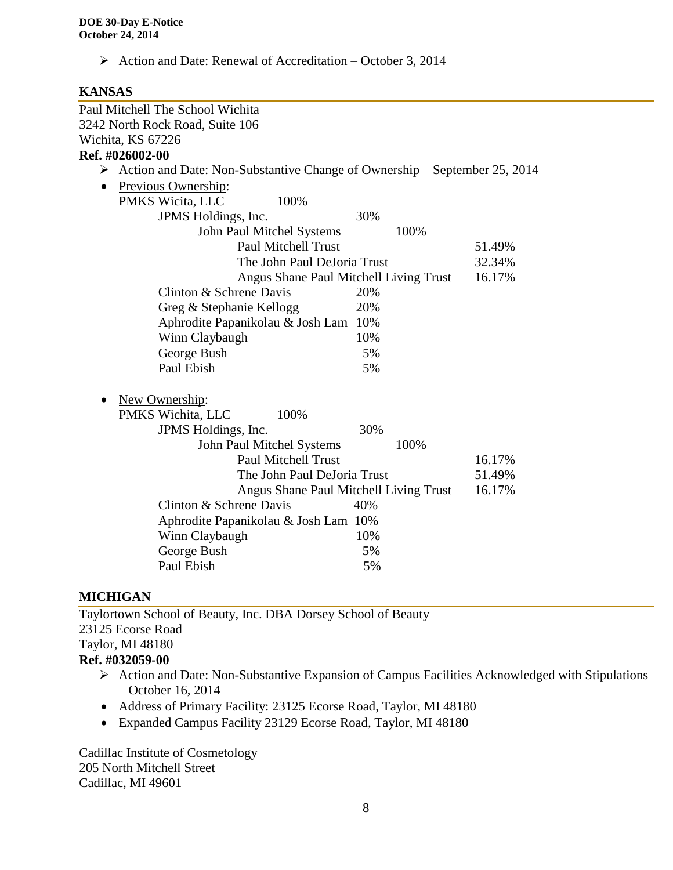$\triangleright$  Action and Date: Renewal of Accreditation – October 3, 2014

#### **KANSAS**

|                   | Paul Mitchell The School Wichita                                                           |                                        |        |
|-------------------|--------------------------------------------------------------------------------------------|----------------------------------------|--------|
|                   | 3242 North Rock Road, Suite 106                                                            |                                        |        |
| Wichita, KS 67226 |                                                                                            |                                        |        |
| Ref. #026002-00   |                                                                                            |                                        |        |
|                   | $\triangleright$ Action and Date: Non-Substantive Change of Ownership – September 25, 2014 |                                        |        |
| $\bullet$         | Previous Ownership:                                                                        |                                        |        |
|                   | PMKS Wicita, LLC<br>100%                                                                   |                                        |        |
|                   | JPMS Holdings, Inc.                                                                        | 30%                                    |        |
|                   | John Paul Mitchel Systems                                                                  | 100%                                   |        |
|                   | <b>Paul Mitchell Trust</b>                                                                 |                                        | 51.49% |
|                   | The John Paul DeJoria Trust                                                                |                                        | 32.34% |
|                   |                                                                                            | Angus Shane Paul Mitchell Living Trust | 16.17% |
|                   | Clinton & Schrene Davis                                                                    | 20%                                    |        |
|                   | Greg & Stephanie Kellogg                                                                   | 20%                                    |        |
|                   | Aphrodite Papanikolau & Josh Lam                                                           | 10%                                    |        |
|                   | Winn Claybaugh                                                                             | 10%                                    |        |
|                   | George Bush                                                                                | 5%                                     |        |
|                   | Paul Ebish                                                                                 | 5%                                     |        |
|                   | New Ownership:                                                                             |                                        |        |
|                   | PMKS Wichita, LLC<br>100%                                                                  |                                        |        |
|                   | JPMS Holdings, Inc.                                                                        | 30%                                    |        |
|                   | John Paul Mitchel Systems                                                                  | 100%                                   |        |
|                   | <b>Paul Mitchell Trust</b>                                                                 |                                        | 16.17% |
|                   | The John Paul DeJoria Trust                                                                |                                        | 51.49% |
|                   |                                                                                            | Angus Shane Paul Mitchell Living Trust | 16.17% |
|                   | Clinton & Schrene Davis                                                                    | 40%                                    |        |
|                   | Aphrodite Papanikolau & Josh Lam 10%                                                       |                                        |        |
|                   | Winn Claybaugh                                                                             | 10%                                    |        |
|                   | George Bush                                                                                | 5%                                     |        |
|                   | Paul Ebish                                                                                 | 5%                                     |        |
|                   |                                                                                            |                                        |        |

#### **MICHIGAN**

Taylortown School of Beauty, Inc. DBA Dorsey School of Beauty 23125 Ecorse Road Taylor, MI 48180 **Ref. #032059-00**

- Action and Date: Non-Substantive Expansion of Campus Facilities Acknowledged with Stipulations – October 16, 2014
- Address of Primary Facility: 23125 Ecorse Road, Taylor, MI 48180
- Expanded Campus Facility 23129 Ecorse Road, Taylor, MI 48180

Cadillac Institute of Cosmetology 205 North Mitchell Street Cadillac, MI 49601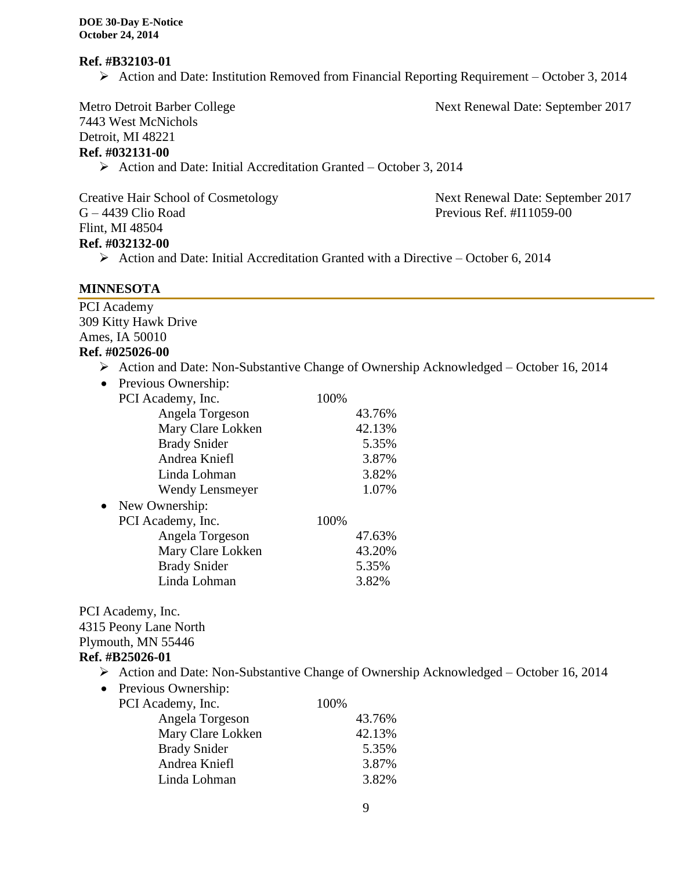#### **Ref. #B32103-01**

 $\triangleright$  Action and Date: Institution Removed from Financial Reporting Requirement – October 3, 2014

Metro Detroit Barber College Next Renewal Date: September 2017

7443 West McNichols Detroit, MI 48221 **Ref. #032131-00**

Action and Date: Initial Accreditation Granted – October 3, 2014

Creative Hair School of Cosmetology Next Renewal Date: September 2017 G – 4439 Clio Road Previous Ref. #I11059-00 Flint, MI 48504

#### **Ref. #032132-00**

 $\triangleright$  Action and Date: Initial Accreditation Granted with a Directive – October 6, 2014

#### **MINNESOTA**

PCI Academy 309 Kitty Hawk Drive Ames, IA 50010 **Ref. #025026-00**

- Action and Date: Non-Substantive Change of Ownership Acknowledged October 16, 2014
- Previous Ownership:

|           | PCI Academy, Inc.      | 100% |        |
|-----------|------------------------|------|--------|
|           | Angela Torgeson        |      | 43.76% |
|           | Mary Clare Lokken      |      | 42.13% |
|           | <b>Brady Snider</b>    |      | 5.35%  |
|           | Andrea Kniefl          |      | 3.87%  |
|           | Linda Lohman           |      | 3.82%  |
|           | <b>Wendy Lensmeyer</b> |      | 1.07%  |
| $\bullet$ | New Ownership:         |      |        |
|           | PCI Academy, Inc.      | 100% |        |
|           | Angela Torgeson        |      | 47.63% |
|           | Mary Clare Lokken      |      | 43.20% |
|           | <b>Brady Snider</b>    |      | 5.35%  |
|           | Linda Lohman           |      | 3.82%  |
|           |                        |      |        |

PCI Academy, Inc. 4315 Peony Lane North Plymouth, MN 55446 **Ref. #B25026-01**

- Action and Date: Non-Substantive Change of Ownership Acknowledged October 16, 2014
- Previous Ownership:

| PCI Academy, Inc.   | 100% |        |
|---------------------|------|--------|
| Angela Torgeson     |      | 43.76% |
| Mary Clare Lokken   |      | 42.13% |
| <b>Brady Snider</b> |      | 5.35%  |
| Andrea Kniefl       |      | 3.87%  |
| Linda Lohman        |      | 3.82%  |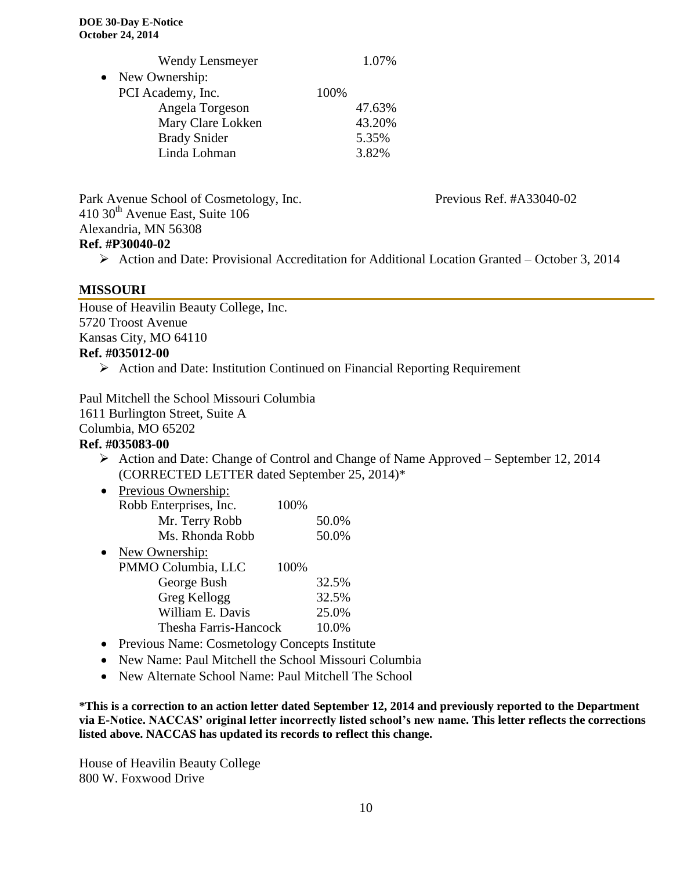|           | <b>Wendy Lensmeyer</b> |      | 1.07%  |
|-----------|------------------------|------|--------|
| $\bullet$ | New Ownership:         |      |        |
|           | PCI Academy, Inc.      | 100% |        |
|           | Angela Torgeson        |      | 47.63% |
|           | Mary Clare Lokken      |      | 43.20% |
|           | <b>Brady Snider</b>    |      | 5.35%  |
|           | Linda Lohman           |      | 3.82%  |
|           |                        |      |        |

Park Avenue School of Cosmetology, Inc. Previous Ref. #A33040-02 410 30<sup>th</sup> Avenue East, Suite 106 Alexandria, MN 56308

#### **Ref. #P30040-02**

Action and Date: Provisional Accreditation for Additional Location Granted – October 3, 2014

#### **MISSOURI**

House of Heavilin Beauty College, Inc. 5720 Troost Avenue Kansas City, MO 64110

# **Ref. #035012-00**

 $\triangleright$  Action and Date: Institution Continued on Financial Reporting Requirement

Paul Mitchell the School Missouri Columbia 1611 Burlington Street, Suite A Columbia, MO 65202 **Ref. #035083-00**

 Action and Date: Change of Control and Change of Name Approved – September 12, 2014 (CORRECTED LETTER dated September 25, 2014)\*

| Previous Ownership:    |      |       |
|------------------------|------|-------|
| Robb Enterprises, Inc. | 100% |       |
| Mr. Terry Robb         |      | 50.0% |
| Ms. Rhonda Robb        |      | 50.0% |
| New Ownership:         |      |       |
| PMMO Columbia, LLC     | 100% |       |
| George Bush            |      | 32.5% |
| Greg Kellogg           |      | 32.5% |
| William E. Davis       |      | 25.0% |
| Thesha Farris-Hancock  |      | 10.0% |
|                        |      |       |

- Previous Name: Cosmetology Concepts Institute
- New Name: Paul Mitchell the School Missouri Columbia
- New Alternate School Name: Paul Mitchell The School

**\*This is a correction to an action letter dated September 12, 2014 and previously reported to the Department via E-Notice. NACCAS' original letter incorrectly listed school's new name. This letter reflects the corrections listed above. NACCAS has updated its records to reflect this change.**

House of Heavilin Beauty College 800 W. Foxwood Drive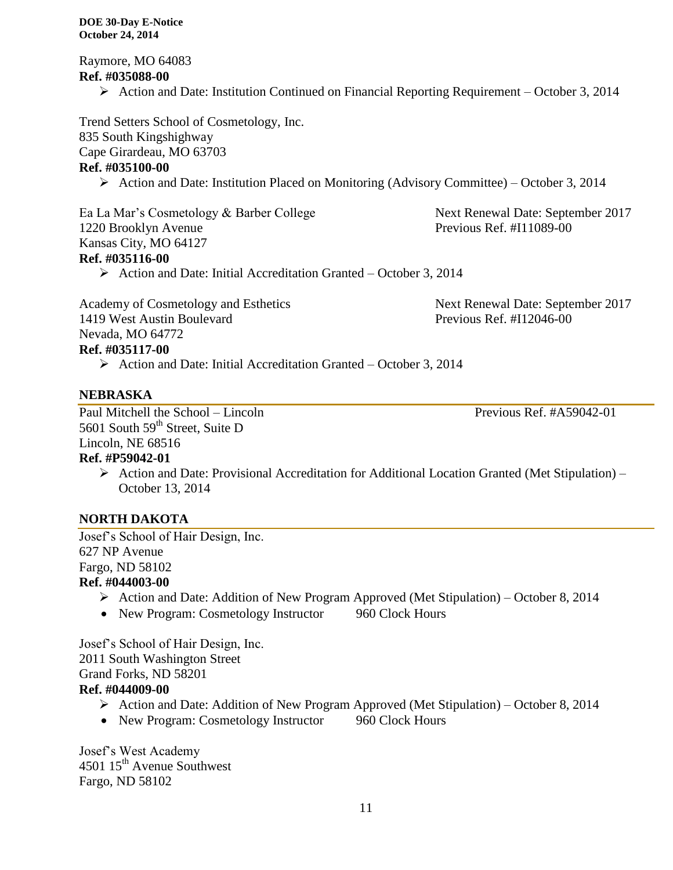Raymore, MO 64083 **Ref. #035088-00**

Action and Date: Institution Continued on Financial Reporting Requirement – October 3, 2014

Trend Setters School of Cosmetology, Inc. 835 South Kingshighway Cape Girardeau, MO 63703

# **Ref. #035100-00**

Action and Date: Institution Placed on Monitoring (Advisory Committee) – October 3, 2014

Ea La Mar's Cosmetology & Barber College Next Renewal Date: September 2017 1220 Brooklyn Avenue Previous Ref. #I11089-00 Kansas City, MO 64127 **Ref. #035116-00**

 $\triangleright$  Action and Date: Initial Accreditation Granted – October 3, 2014

Academy of Cosmetology and Esthetics Next Renewal Date: September 2017 1419 West Austin Boulevard Previous Ref. #I12046-00 Nevada, MO 64772

# **Ref. #035117-00**

Action and Date: Initial Accreditation Granted – October 3, 2014

# **NEBRASKA**

Paul Mitchell the School – Lincoln Previous Ref. #A59042-01 5601 South 59<sup>th</sup> Street, Suite D Lincoln, NE 68516

# **Ref. #P59042-01**

 $\triangleright$  Action and Date: Provisional Accreditation for Additional Location Granted (Met Stipulation) – October 13, 2014

# **NORTH DAKOTA**

Josef's School of Hair Design, Inc. 627 NP Avenue Fargo, ND 58102 **Ref. #044003-00**

- $\triangleright$  Action and Date: Addition of New Program Approved (Met Stipulation) October 8, 2014
- New Program: Cosmetology Instructor 960 Clock Hours

Josef's School of Hair Design, Inc. 2011 South Washington Street Grand Forks, ND 58201

# **Ref. #044009-00**

- $\triangleright$  Action and Date: Addition of New Program Approved (Met Stipulation) October 8, 2014
- New Program: Cosmetology Instructor 960 Clock Hours

Josef's West Academy 4501 15<sup>th</sup> Avenue Southwest Fargo, ND 58102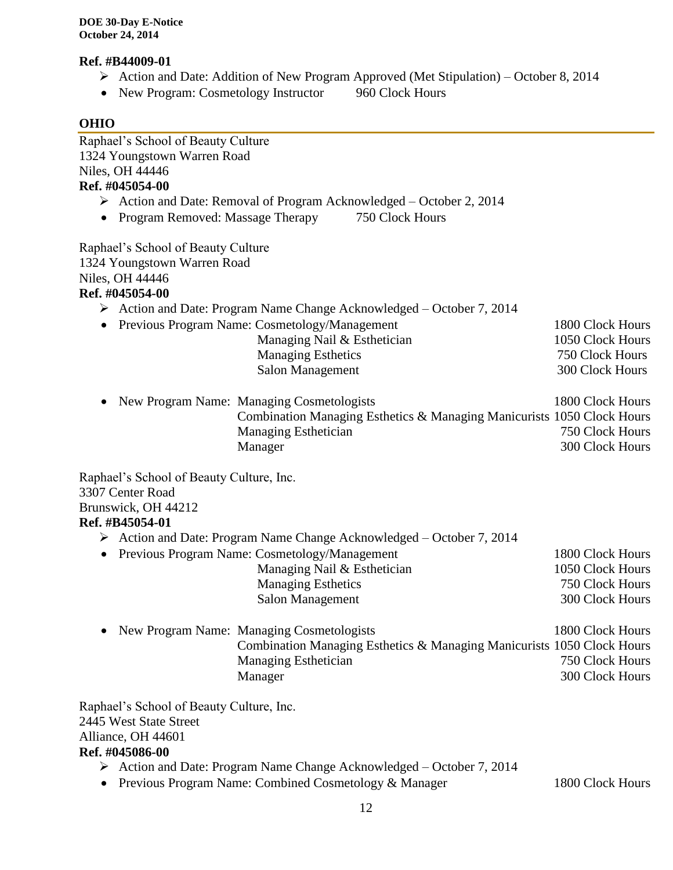#### **Ref. #B44009-01**

- Action and Date: Addition of New Program Approved (Met Stipulation) October 8, 2014
- New Program: Cosmetology Instructor 960 Clock Hours

# **OHIO**

| Raphael's School of Beauty Culture       |                                                                                      |                  |
|------------------------------------------|--------------------------------------------------------------------------------------|------------------|
| 1324 Youngstown Warren Road              |                                                                                      |                  |
| Niles, OH 44446                          |                                                                                      |                  |
| Ref. #045054-00                          |                                                                                      |                  |
|                                          | $\triangleright$ Action and Date: Removal of Program Acknowledged – October 2, 2014  |                  |
| Program Removed: Massage Therapy         | 750 Clock Hours                                                                      |                  |
| Raphael's School of Beauty Culture       |                                                                                      |                  |
| 1324 Youngstown Warren Road              |                                                                                      |                  |
| Niles, OH 44446                          |                                                                                      |                  |
| Ref. #045054-00                          |                                                                                      |                  |
|                                          | $\triangleright$ Action and Date: Program Name Change Acknowledged – October 7, 2014 |                  |
|                                          | Previous Program Name: Cosmetology/Management                                        | 1800 Clock Hours |
|                                          | Managing Nail & Esthetician                                                          | 1050 Clock Hours |
|                                          | <b>Managing Esthetics</b>                                                            | 750 Clock Hours  |
|                                          | <b>Salon Management</b>                                                              | 300 Clock Hours  |
|                                          | New Program Name: Managing Cosmetologists                                            | 1800 Clock Hours |
|                                          | Combination Managing Esthetics & Managing Manicurists 1050 Clock Hours               |                  |
|                                          | Managing Esthetician                                                                 | 750 Clock Hours  |
|                                          | Manager                                                                              | 300 Clock Hours  |
| Raphael's School of Beauty Culture, Inc. |                                                                                      |                  |
| 3307 Center Road                         |                                                                                      |                  |
| Brunswick, OH 44212                      |                                                                                      |                  |
| Ref. #B45054-01                          |                                                                                      |                  |
|                                          | $\triangleright$ Action and Date: Program Name Change Acknowledged – October 7, 2014 |                  |
|                                          | Previous Program Name: Cosmetology/Management                                        | 1800 Clock Hours |
|                                          | Managing Nail & Esthetician                                                          | 1050 Clock Hours |
|                                          | <b>Managing Esthetics</b>                                                            | 750 Clock Hours  |
|                                          | <b>Salon Management</b>                                                              | 300 Clock Hours  |
|                                          | <b>New Program Name: Managing Cosmetologists</b>                                     | 1800 Clock Hours |
|                                          | Combination Managing Esthetics & Managing Manicurists 1050 Clock Hours               |                  |
|                                          | <b>Managing Esthetician</b>                                                          | 750 Clock Hours  |
|                                          | Manager                                                                              | 300 Clock Hours  |
| Raphael's School of Beauty Culture, Inc. |                                                                                      |                  |
| 2445 West State Street                   |                                                                                      |                  |
| Alliance, OH 44601                       |                                                                                      |                  |
| Ref. #045086-00                          |                                                                                      |                  |
| ➤                                        | Action and Date: Program Name Change Acknowledged – October 7, 2014                  |                  |
|                                          | Previous Program Name: Combined Cosmetology & Manager                                | 1800 Clock Hours |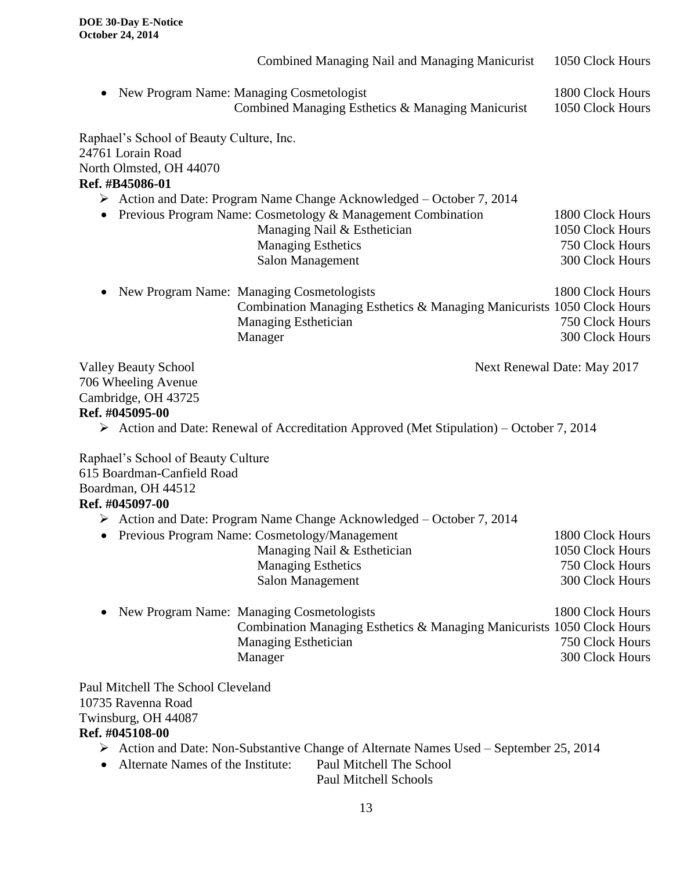|                                                                                                                                                                                                                                        | Combined Managing Nail and Managing Manicurist                                                                                                                                                                                      | 1050 Clock Hours                                                           |  |  |
|----------------------------------------------------------------------------------------------------------------------------------------------------------------------------------------------------------------------------------------|-------------------------------------------------------------------------------------------------------------------------------------------------------------------------------------------------------------------------------------|----------------------------------------------------------------------------|--|--|
| $\bullet$                                                                                                                                                                                                                              | New Program Name: Managing Cosmetologist<br>Combined Managing Esthetics & Managing Manicurist                                                                                                                                       | 1800 Clock Hours<br>1050 Clock Hours                                       |  |  |
| Raphael's School of Beauty Culture, Inc.<br>24761 Lorain Road<br>North Olmsted, OH 44070<br>Ref. #B45086-01                                                                                                                            |                                                                                                                                                                                                                                     |                                                                            |  |  |
| $\bullet$                                                                                                                                                                                                                              | $\triangleright$ Action and Date: Program Name Change Acknowledged – October 7, 2014<br>Previous Program Name: Cosmetology & Management Combination<br>Managing Nail & Esthetician<br><b>Managing Esthetics</b><br>Salon Management | 1800 Clock Hours<br>1050 Clock Hours<br>750 Clock Hours<br>300 Clock Hours |  |  |
| $\bullet$                                                                                                                                                                                                                              | New Program Name: Managing Cosmetologists<br>Combination Managing Esthetics & Managing Manicurists 1050 Clock Hours<br>Managing Esthetician<br>Manager                                                                              | 1800 Clock Hours<br>750 Clock Hours<br>300 Clock Hours                     |  |  |
| <b>Valley Beauty School</b><br>Next Renewal Date: May 2017<br>706 Wheeling Avenue<br>Cambridge, OH 43725<br>Ref. #045095-00<br>$\triangleright$ Action and Date: Renewal of Accreditation Approved (Met Stipulation) – October 7, 2014 |                                                                                                                                                                                                                                     |                                                                            |  |  |
| Raphael's School of Beauty Culture<br>615 Boardman-Canfield Road<br>Boardman, OH 44512<br>Ref. #045097-00                                                                                                                              |                                                                                                                                                                                                                                     |                                                                            |  |  |
|                                                                                                                                                                                                                                        | $\triangleright$ Action and Date: Program Name Change Acknowledged – October 7, 2014<br>• Previous Program Name: Cosmetology/Management<br>Managing Nail & Esthetician<br><b>Managing Esthetics</b><br><b>Salon Management</b>      | 1800 Clock Hours<br>1050 Clock Hours<br>750 Clock Hours<br>300 Clock Hours |  |  |
|                                                                                                                                                                                                                                        | New Program Name: Managing Cosmetologists<br>Combination Managing Esthetics & Managing Manicurists 1050 Clock Hours<br>Managing Esthetician<br>Manager                                                                              | 1800 Clock Hours<br>750 Clock Hours<br>300 Clock Hours                     |  |  |
| Paul Mitchell The School Cleveland<br>10735 Ravenna Road<br>Twinsburg, OH 44087<br>Ref. #045108-00<br>Alternate Names of the Institute:                                                                                                | $\triangleright$ Action and Date: Non-Substantive Change of Alternate Names Used – September 25, 2014<br>Paul Mitchell The School                                                                                                   |                                                                            |  |  |

Paul Mitchell Schools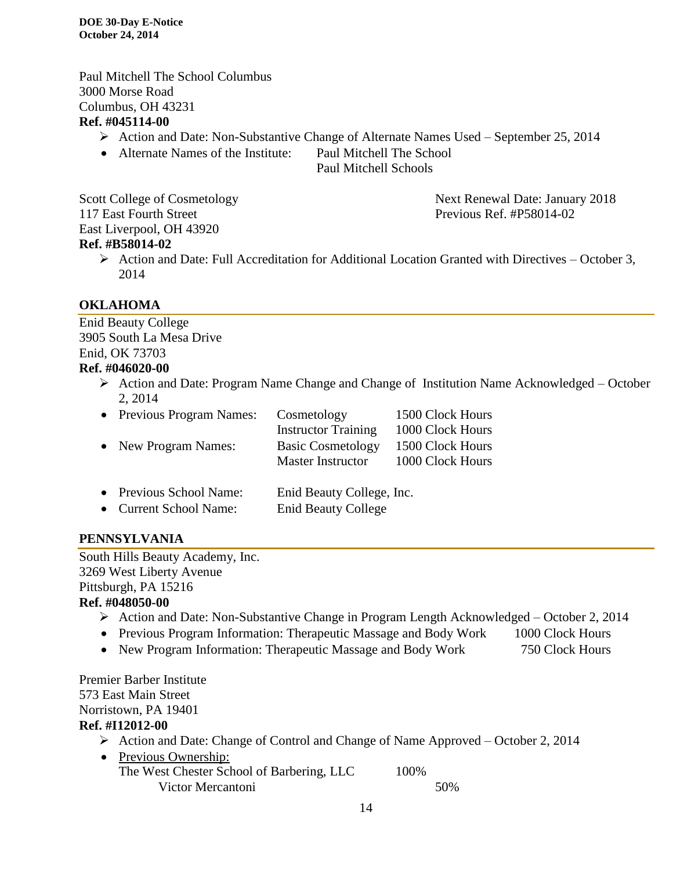Paul Mitchell The School Columbus 3000 Morse Road Columbus, OH 43231 **Ref. #045114-00**

- Action and Date: Non-Substantive Change of Alternate Names Used September 25, 2014
- Alternate Names of the Institute: Paul Mitchell The School

Paul Mitchell Schools

Scott College of Cosmetology Next Renewal Date: January 2018 117 East Fourth Street **Previous Ref. #P58014-02** East Liverpool, OH 43920 **Ref. #B58014-02**

#### $\triangleright$  Action and Date: Full Accreditation for Additional Location Granted with Directives – October 3, 2014

# **OKLAHOMA**

Enid Beauty College 3905 South La Mesa Drive Enid, OK 73703 **Ref. #046020-00**

> Action and Date: Program Name Change and Change of Institution Name Acknowledged – October 2, 2014

| • Previous Program Names: | Cosmetology                | 1500 Clock Hours |
|---------------------------|----------------------------|------------------|
|                           | <b>Instructor Training</b> | 1000 Clock Hours |
| • New Program Names:      | <b>Basic Cosmetology</b>   | 1500 Clock Hours |
|                           | <b>Master Instructor</b>   | 1000 Clock Hours |
|                           |                            |                  |
| • Previous School Name:   | Enid Beauty College, Inc.  |                  |

| $\bullet$ | THE VIOUS DUILOUI TRAINE.   | Lillu Deauty Concert, In   |
|-----------|-----------------------------|----------------------------|
|           | <b>Current School Name:</b> | <b>Enid Beauty College</b> |

# **PENNSYLVANIA**

South Hills Beauty Academy, Inc. 3269 West Liberty Avenue Pittsburgh, PA 15216 **Ref. #048050-00**

- Action and Date: Non-Substantive Change in Program Length Acknowledged October 2, 2014
- Previous Program Information: Therapeutic Massage and Body Work 1000 Clock Hours
- New Program Information: Therapeutic Massage and Body Work 750 Clock Hours

Premier Barber Institute 573 East Main Street Norristown, PA 19401 **Ref. #I12012-00**

- Action and Date: Change of Control and Change of Name Approved October 2, 2014
- Previous Ownership: The West Chester School of Barbering, LLC 100% Victor Mercantoni 50%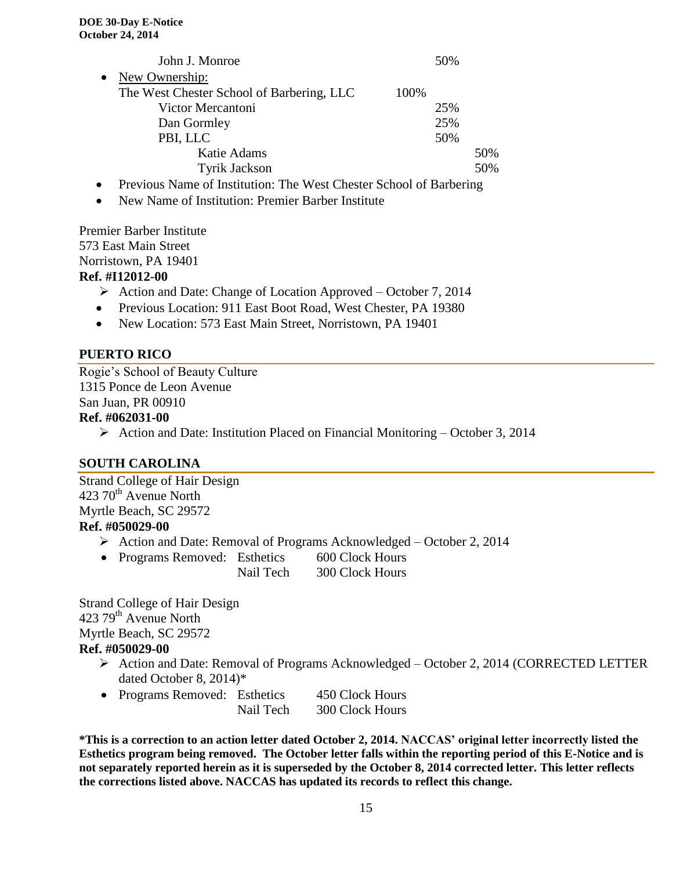|           | John J. Monroe                            |      | 50% |     |
|-----------|-------------------------------------------|------|-----|-----|
| $\bullet$ | New Ownership:                            |      |     |     |
|           | The West Chester School of Barbering, LLC | 100% |     |     |
|           | Victor Mercantoni                         |      | 25% |     |
|           | Dan Gormley                               |      | 25% |     |
|           | PBI, LLC                                  |      | 50% |     |
|           | Katie Adams                               |      |     | 50% |
|           | <b>Tyrik Jackson</b>                      |      |     | 50% |

- Previous Name of Institution: The West Chester School of Barbering
- New Name of Institution: Premier Barber Institute

Premier Barber Institute 573 East Main Street Norristown, PA 19401

#### **Ref. #I12012-00**

- $\triangleright$  Action and Date: Change of Location Approved October 7, 2014
- Previous Location: 911 East Boot Road, West Chester, PA 19380
- New Location: 573 East Main Street, Norristown, PA 19401

# **PUERTO RICO**

Rogie's School of Beauty Culture 1315 Ponce de Leon Avenue San Juan, PR 00910 **Ref. #062031-00**

 $\triangleright$  Action and Date: Institution Placed on Financial Monitoring – October 3, 2014

# **SOUTH CAROLINA**

Strand College of Hair Design 423 70<sup>th</sup> Avenue North Myrtle Beach, SC 29572 **Ref. #050029-00**

- Action and Date: Removal of Programs Acknowledged October 2, 2014
- Programs Removed: Esthetics 600 Clock Hours Nail Tech 300 Clock Hours

Strand College of Hair Design 423 79<sup>th</sup> Avenue North Myrtle Beach, SC 29572 **Ref. #050029-00**

- Action and Date: Removal of Programs Acknowledged October 2, 2014 (CORRECTED LETTER dated October 8, 2014)\*
- Programs Removed: Esthetics 450 Clock Hours Nail Tech 300 Clock Hours

**\*This is a correction to an action letter dated October 2, 2014. NACCAS' original letter incorrectly listed the Esthetics program being removed. The October letter falls within the reporting period of this E-Notice and is not separately reported herein as it is superseded by the October 8, 2014 corrected letter. This letter reflects the corrections listed above. NACCAS has updated its records to reflect this change.**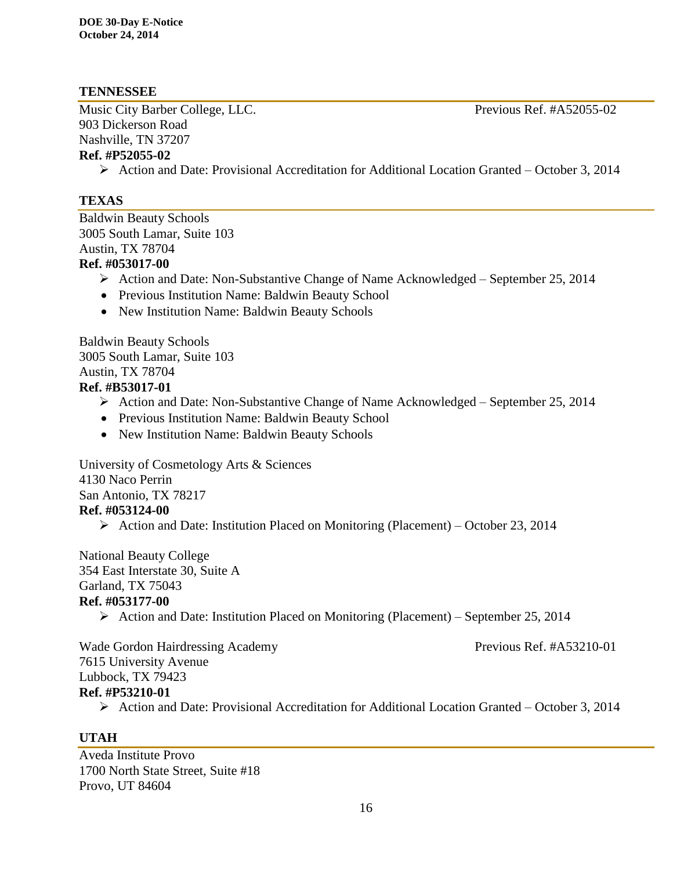#### **TENNESSEE**

Music City Barber College, LLC. Previous Ref. #A52055-02 903 Dickerson Road Nashville, TN 37207 **Ref. #P52055-02**

# $\triangleright$  Action and Date: Provisional Accreditation for Additional Location Granted – October 3, 2014

#### **TEXAS**

Baldwin Beauty Schools 3005 South Lamar, Suite 103 Austin, TX 78704 **Ref. #053017-00**

- Action and Date: Non-Substantive Change of Name Acknowledged September 25, 2014
- Previous Institution Name: Baldwin Beauty School
- New Institution Name: Baldwin Beauty Schools

Baldwin Beauty Schools 3005 South Lamar, Suite 103 Austin, TX 78704 **Ref. #B53017-01**

- $\triangleright$  Action and Date: Non-Substantive Change of Name Acknowledged September 25, 2014
- Previous Institution Name: Baldwin Beauty School
- New Institution Name: Baldwin Beauty Schools

University of Cosmetology Arts & Sciences 4130 Naco Perrin San Antonio, TX 78217 **Ref. #053124-00**

 $\triangleright$  Action and Date: Institution Placed on Monitoring (Placement) – October 23, 2014

National Beauty College 354 East Interstate 30, Suite A Garland, TX 75043 **Ref. #053177-00**

 $\triangleright$  Action and Date: Institution Placed on Monitoring (Placement) – September 25, 2014

Wade Gordon Hairdressing Academy Previous Ref. #A53210-01 7615 University Avenue Lubbock, TX 79423 **Ref. #P53210-01**

Action and Date: Provisional Accreditation for Additional Location Granted – October 3, 2014

#### **UTAH**

Aveda Institute Provo 1700 North State Street, Suite #18 Provo, UT 84604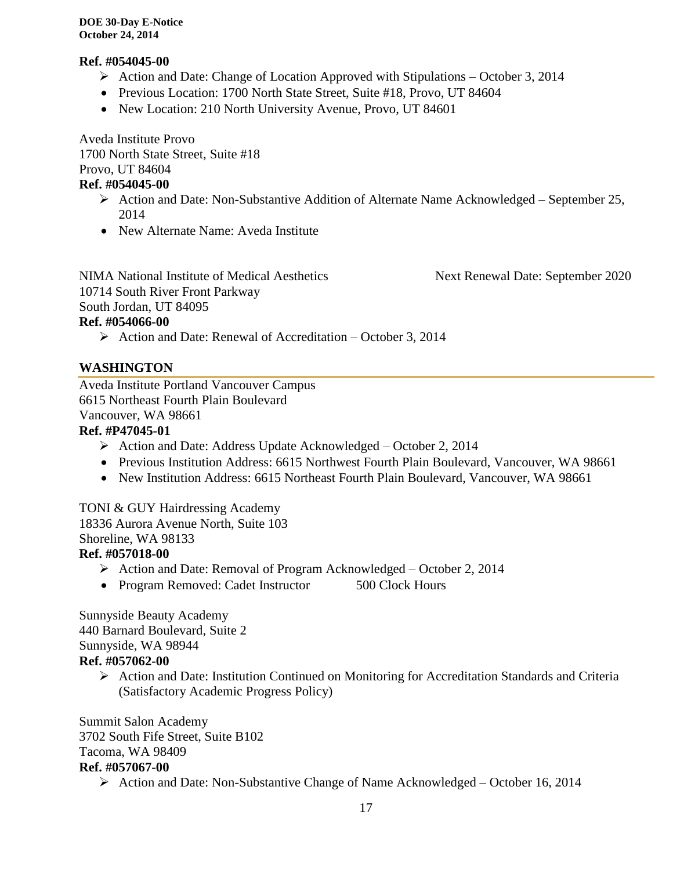#### **Ref. #054045-00**

- $\triangleright$  Action and Date: Change of Location Approved with Stipulations October 3, 2014
- Previous Location: 1700 North State Street, Suite #18, Provo, UT 84604
- New Location: 210 North University Avenue, Provo, UT 84601

Aveda Institute Provo 1700 North State Street, Suite #18 Provo, UT 84604

# **Ref. #054045-00**

- Action and Date: Non-Substantive Addition of Alternate Name Acknowledged September 25, 2014
- New Alternate Name: Aveda Institute

NIMA National Institute of Medical Aesthetics Next Renewal Date: September 2020 10714 South River Front Parkway South Jordan, UT 84095 **Ref. #054066-00**

 $\triangleright$  Action and Date: Renewal of Accreditation – October 3, 2014

# **WASHINGTON**

Aveda Institute Portland Vancouver Campus 6615 Northeast Fourth Plain Boulevard Vancouver, WA 98661

# **Ref. #P47045-01**

- $\triangleright$  Action and Date: Address Update Acknowledged October 2, 2014
- Previous Institution Address: 6615 Northwest Fourth Plain Boulevard, Vancouver, WA 98661
- New Institution Address: 6615 Northeast Fourth Plain Boulevard, Vancouver, WA 98661

TONI & GUY Hairdressing Academy 18336 Aurora Avenue North, Suite 103 Shoreline, WA 98133

# **Ref. #057018-00**

- Action and Date: Removal of Program Acknowledged October 2, 2014
- Program Removed: Cadet Instructor 500 Clock Hours

Sunnyside Beauty Academy 440 Barnard Boulevard, Suite 2 Sunnyside, WA 98944 **Ref. #057062-00**

> $\triangleright$  Action and Date: Institution Continued on Monitoring for Accreditation Standards and Criteria (Satisfactory Academic Progress Policy)

Summit Salon Academy 3702 South Fife Street, Suite B102 Tacoma, WA 98409 **Ref. #057067-00**

Action and Date: Non-Substantive Change of Name Acknowledged – October 16, 2014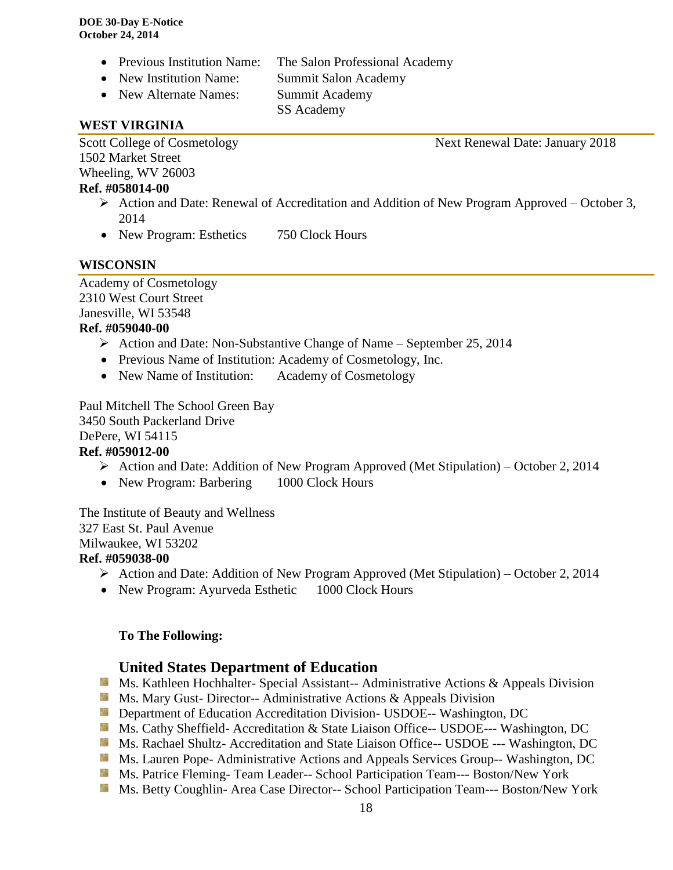- Previous Institution Name: The Salon Professional Academy
- New Institution Name: Summit Salon Academy
- New Alternate Names: Summit Academy

SS Academy

#### **WEST VIRGINIA**

Scott College of Cosmetology Next Renewal Date: January 2018 1502 Market Street Wheeling, WV 26003

#### **Ref. #058014-00**

- $\triangleright$  Action and Date: Renewal of Accreditation and Addition of New Program Approved October 3, 2014
- New Program: Esthetics 750 Clock Hours

# **WISCONSIN**

Academy of Cosmetology 2310 West Court Street Janesville, WI 53548

#### **Ref. #059040-00**

- $\triangleright$  Action and Date: Non-Substantive Change of Name September 25, 2014
- Previous Name of Institution: Academy of Cosmetology, Inc.
- New Name of Institution: Academy of Cosmetology

Paul Mitchell The School Green Bay 3450 South Packerland Drive DePere, WI 54115

# **Ref. #059012-00**

- $\triangleright$  Action and Date: Addition of New Program Approved (Met Stipulation) October 2, 2014
- New Program: Barbering 1000 Clock Hours

The Institute of Beauty and Wellness 327 East St. Paul Avenue Milwaukee, WI 53202 **Ref. #059038-00**

- Action and Date: Addition of New Program Approved (Met Stipulation) October 2, 2014
- New Program: Ayurveda Esthetic 1000 Clock Hours

# **To The Following:**

# **United States Department of Education**

- **Ms. Kathleen Hochhalter- Special Assistant-- Administrative Actions & Appeals Division**
- **MS. Mary Gust- Director-- Administrative Actions & Appeals Division**
- **Department of Education Accreditation Division- USDOE-- Washington, DC**
- **Ms. Cathy Sheffield- Accreditation & State Liaison Office-- USDOE--- Washington, DC**
- Ms. Rachael Shultz- Accreditation and State Liaison Office-- USDOE --- Washington, DC
- **Ms. Lauren Pope- Administrative Actions and Appeals Services Group-- Washington, DC**
- Ms. Patrice Fleming-Team Leader-- School Participation Team--- Boston/New York
- Ms. Betty Coughlin- Area Case Director-- School Participation Team--- Boston/New York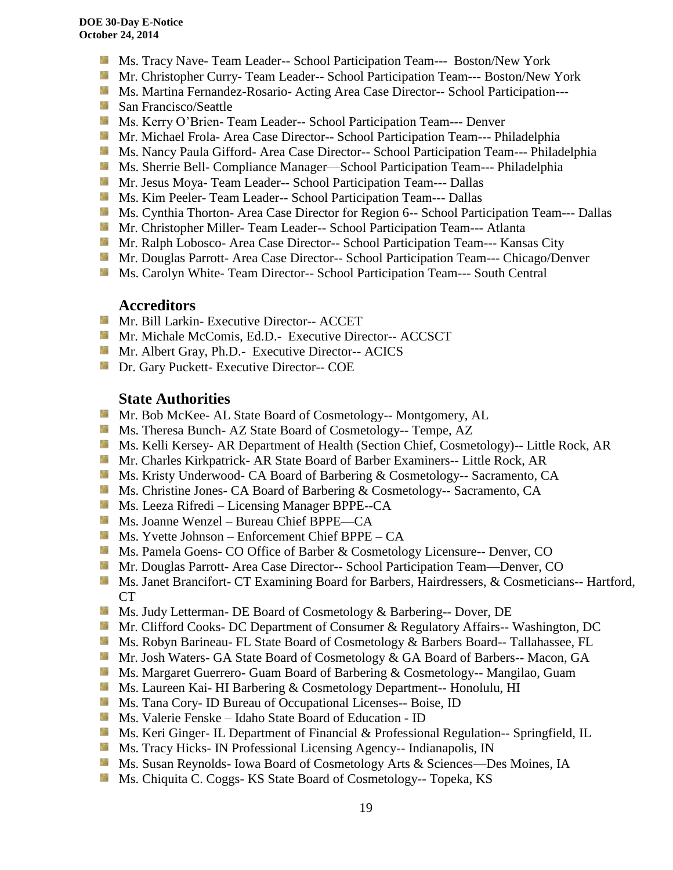- Ms. Tracy Nave- Team Leader-- School Participation Team--- Boston/New York
- **Mr. Christopher Curry- Team Leader-- School Participation Team--- Boston/New York**
- Ms. Martina Fernandez-Rosario- Acting Area Case Director-- School Participation---
- **San Francisco/Seattle**
- Ms. Kerry O'Brien- Team Leader-- School Participation Team--- Denver
- **Mr. Michael Frola- Area Case Director-- School Participation Team--- Philadelphia**
- Ms. Nancy Paula Gifford- Area Case Director-- School Participation Team--- Philadelphia
- Ms. Sherrie Bell- Compliance Manager—School Participation Team--- Philadelphia
- **Mr. Jesus Moya- Team Leader-- School Participation Team--- Dallas**
- **MS. Kim Peeler-Team Leader-- School Participation Team--- Dallas**
- **Ms. Cynthia Thorton- Area Case Director for Region 6-- School Participation Team--- Dallas**
- Mr. Christopher Miller- Team Leader-- School Participation Team--- Atlanta
- Mr. Ralph Lobosco- Area Case Director-- School Participation Team--- Kansas City
- **Mr. Douglas Parrott- Area Case Director-- School Participation Team--- Chicago/Denver**
- **MS. Carolyn White-Team Director-- School Participation Team--- South Central**

#### **Accreditors**

- **Mr. Bill Larkin- Executive Director-- ACCET**
- Mr. Michale McComis, Ed.D.- Executive Director-- ACCSCT
- **Mr.** Albert Gray, Ph.D.- Executive Director-- ACICS
- **Dr.** Gary Puckett- Executive Director-- COE

# **State Authorities**

- Mr. Bob McKee- AL State Board of Cosmetology-- Montgomery, AL
- Ms. Theresa Bunch- AZ State Board of Cosmetology-- Tempe, AZ
- **Ms. Kelli Kersey- AR Department of Health (Section Chief, Cosmetology)**-- Little Rock, AR
- Mr. Charles Kirkpatrick- AR State Board of Barber Examiners-- Little Rock, AR
- **Ms. Kristy Underwood- CA Board of Barbering & Cosmetology-- Sacramento, CA**
- **Ms.** Christine Jones- CA Board of Barbering & Cosmetology-- Sacramento, CA
- Ms. Leeza Rifredi Licensing Manager BPPE--CA
- Ms. Joanne Wenzel Bureau Chief BPPE—CA
- **Ms.** Yvette Johnson Enforcement Chief BPPE CA
- **Ms. Pamela Goens- CO Office of Barber & Cosmetology Licensure-- Denver, CO**
- Mr. Douglas Parrott- Area Case Director-- School Participation Team—Denver, CO
- **Ms. Janet Brancifort- CT Examining Board for Barbers, Hairdressers, & Cosmeticians-- Hartford,** CT
- **Ms. Judy Letterman- DE Board of Cosmetology & Barbering-- Dover, DE**
- **Mr. Clifford Cooks- DC Department of Consumer & Regulatory Affairs-- Washington, DC**
- **Ms. Robyn Barineau- FL State Board of Cosmetology & Barbers Board-- Tallahassee, FL**
- **Mr.** Josh Waters- GA State Board of Cosmetology & GA Board of Barbers-- Macon, GA
- **Ms. Margaret Guerrero- Guam Board of Barbering & Cosmetology-- Mangilao, Guam**
- **MS. Laureen Kai- HI Barbering & Cosmetology Department-- Honolulu, HI**
- **Ms. Tana Cory- ID Bureau of Occupational Licenses-- Boise, ID**
- Ms. Valerie Fenske Idaho State Board of Education ID
- **Ms. Keri Ginger- IL Department of Financial & Professional Regulation-- Springfield, IL**
- **MS.** Tracy Hicks- IN Professional Licensing Agency-- Indianapolis, IN
- Ms. Susan Reynolds- Iowa Board of Cosmetology Arts & Sciences—Des Moines, IA
- Ms. Chiquita C. Coggs- KS State Board of Cosmetology-- Topeka, KS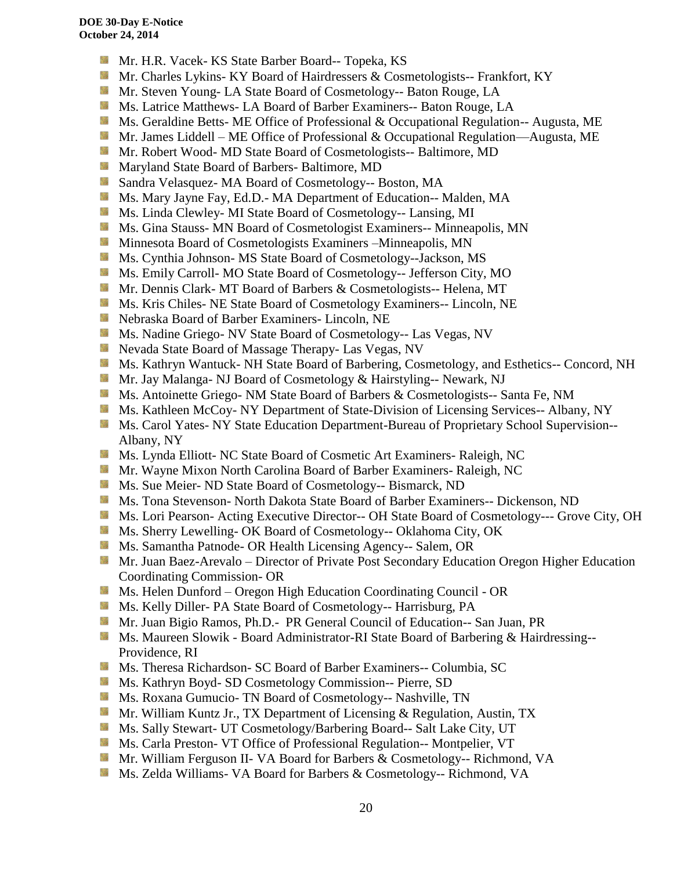- Mr. H.R. Vacek- KS State Barber Board-- Topeka, KS
- Mr. Charles Lykins- KY Board of Hairdressers & Cosmetologists-- Frankfort, KY
- **Mr. Steven Young- LA State Board of Cosmetology-- Baton Rouge, LA**
- **Ms. Latrice Matthews- LA Board of Barber Examiners-- Baton Rouge, LA**
- **Ms.** Geraldine Betts- ME Office of Professional & Occupational Regulation-- Augusta, ME
- Mr. James Liddell ME Office of Professional & Occupational Regulation—Augusta, ME
- **Mr. Robert Wood- MD State Board of Cosmetologists-- Baltimore, MD**
- **Maryland State Board of Barbers- Baltimore, MD**
- Side. Sandra Velasquez- MA Board of Cosmetology-- Boston, MA
- Ms. Mary Jayne Fay, Ed.D.- MA Department of Education-- Malden, MA
- Ms. Linda Clewley- MI State Board of Cosmetology-- Lansing, MI
- Silla. Ms. Gina Stauss- MN Board of Cosmetologist Examiners-- Minneapolis, MN
- **M** Minnesota Board of Cosmetologists Examiners –Minneapolis, MN
- Ms. Cynthia Johnson- MS State Board of Cosmetology--Jackson, MS
- **Ms. Emily Carroll- MO State Board of Cosmetology-- Jefferson City, MO**
- **Mr. Dennis Clark- MT Board of Barbers & Cosmetologists-- Helena, MT**
- **Ms. Kris Chiles- NE State Board of Cosmetology Examiners-- Lincoln, NE**
- Nebraska Board of Barber Examiners- Lincoln, NE
- **Ms. Nadine Griego- NV State Board of Cosmetology-- Las Vegas, NV**
- **Nevada State Board of Massage Therapy- Las Vegas, NV**
- Ms. Kathryn Wantuck- NH State Board of Barbering, Cosmetology, and Esthetics-- Concord, NH
- Mr. Jay Malanga- NJ Board of Cosmetology & Hairstyling-- Newark, NJ
- Ms. Antoinette Griego- NM State Board of Barbers & Cosmetologists-- Santa Fe, NM
- Ms. Kathleen McCoy- NY Department of State-Division of Licensing Services-- Albany, NY
- **Ms. Carol Yates- NY State Education Department-Bureau of Proprietary School Supervision--**Albany, NY
- Ms. Lynda Elliott- NC State Board of Cosmetic Art Examiners- Raleigh, NC
- **Mr.** Wayne Mixon North Carolina Board of Barber Examiners- Raleigh, NC
- **Ms.** Sue Meier- ND State Board of Cosmetology-- Bismarck, ND
- Ms. Tona Stevenson- North Dakota State Board of Barber Examiners-- Dickenson, ND
- **Ms. Lori Pearson- Acting Executive Director-- OH State Board of Cosmetology--- Grove City, OH**
- Ms. Sherry Lewelling- OK Board of Cosmetology-- Oklahoma City, OK
- **Ms. Samantha Patnode- OR Health Licensing Agency-- Salem, OR**
- Mr. Juan Baez-Arevalo Director of Private Post Secondary Education Oregon Higher Education Coordinating Commission- OR
- Ms. Helen Dunford Oregon High Education Coordinating Council OR
- **Ms. Kelly Diller-PA State Board of Cosmetology-- Harrisburg, PA**
- Mr. Juan Bigio Ramos, Ph.D.- PR General Council of Education-- San Juan, PR
- **Ms. Maureen Slowik Board Administrator-RI State Board of Barbering & Hairdressing--**Providence, RI
- **Ms.** Theresa Richardson- SC Board of Barber Examiners-- Columbia, SC
- Ms. Kathryn Boyd- SD Cosmetology Commission-- Pierre, SD
- **Ms. Roxana Gumucio- TN Board of Cosmetology-- Nashville, TN**
- **Mr.** William Kuntz Jr., TX Department of Licensing & Regulation, Austin, TX
- **Ms. Sally Stewart- UT Cosmetology/Barbering Board-- Salt Lake City, UT**
- **Ms. Carla Preston- VT Office of Professional Regulation-- Montpelier, VT**
- Mr. William Ferguson II- VA Board for Barbers & Cosmetology-- Richmond, VA
- **Ms. Zelda Williams- VA Board for Barbers & Cosmetology-- Richmond, VA**